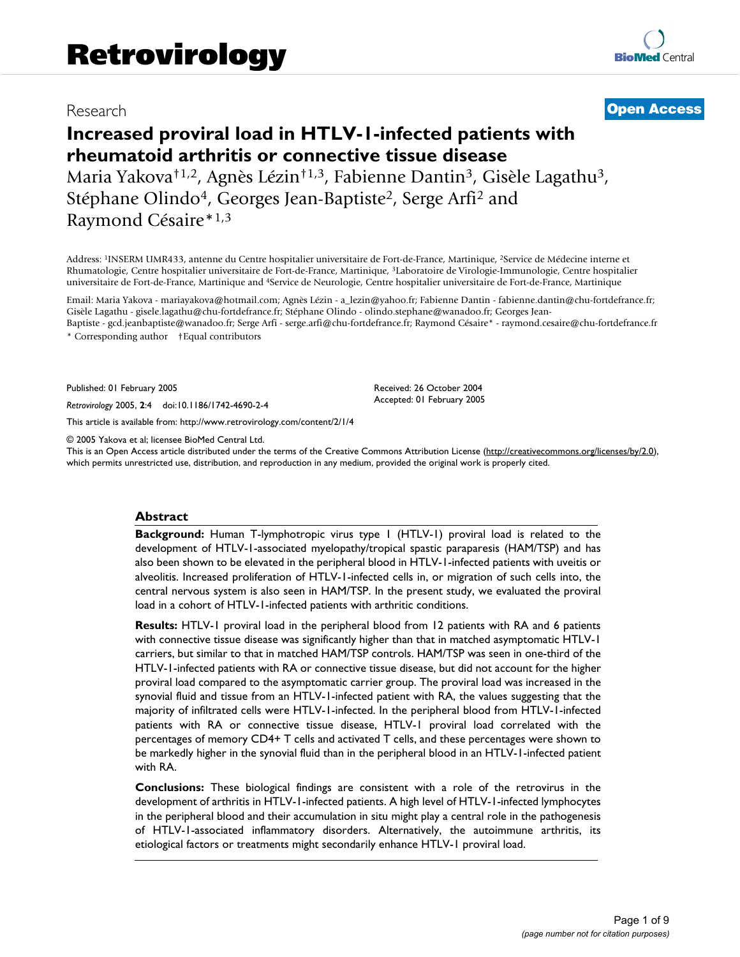# Research [Open Access](http://www.biomedcentral.com/info/about/charter/)

# **Increased proviral load in HTLV-1-infected patients with rheumatoid arthritis or connective tissue disease** Maria Yakova†1,2, Agnès Lézin†1,3, Fabienne Dantin<sup>3</sup>, Gisèle Lagathu<sup>3</sup>, Stéphane Olindo<sup>4</sup>, Georges Jean-Baptiste<sup>2</sup>, Serge Arfi<sup>2</sup> and

Raymond Césaire\*1,3

Address: <sup>1</sup>INSERM UMR433, antenne du Centre hospitalier universitaire de Fort-de-France, Martinique, <sup>2</sup>Service de Médecine interne et Rhumatologie, Centre hospitalier universitaire de Fort-de-France, Martinique, <sup>3</sup>Laboratoire de Virologie-Immunologie, Centre hospitalier universitaire de Fort-de-France, Martinique and <sup>4</sup>Service de Neurologie, Centre hospitalier universitaire de Fort-de-France, Martinique

Email: Maria Yakova - mariayakova@hotmail.com; Agnès Lézin - a\_lezin@yahoo.fr; Fabienne Dantin - fabienne.dantin@chu-fortdefrance.fr; Gisèle Lagathu - gisele.lagathu@chu-fortdefrance.fr; Stéphane Olindo - olindo.stephane@wanadoo.fr; Georges Jean-Baptiste - gcd.jeanbaptiste@wanadoo.fr; Serge Arfi - serge.arfi@chu-fortdefrance.fr; Raymond Césaire\* - raymond.cesaire@chu-fortdefrance.fr

\* Corresponding author †Equal contributors

Published: 01 February 2005

*Retrovirology* 2005, **2**:4 doi:10.1186/1742-4690-2-4

[This article is available from: http://www.retrovirology.com/content/2/1/4](http://www.retrovirology.com/content/2/1/4)

© 2005 Yakova et al; licensee BioMed Central Ltd.

This is an Open Access article distributed under the terms of the Creative Commons Attribution License [\(http://creativecommons.org/licenses/by/2.0\)](http://creativecommons.org/licenses/by/2.0), which permits unrestricted use, distribution, and reproduction in any medium, provided the original work is properly cited.

Received: 26 October 2004 Accepted: 01 February 2005

#### **Abstract**

**Background:** Human T-lymphotropic virus type 1 (HTLV-1) proviral load is related to the development of HTLV-1-associated myelopathy/tropical spastic paraparesis (HAM/TSP) and has also been shown to be elevated in the peripheral blood in HTLV-1-infected patients with uveitis or alveolitis. Increased proliferation of HTLV-1-infected cells in, or migration of such cells into, the central nervous system is also seen in HAM/TSP. In the present study, we evaluated the proviral load in a cohort of HTLV-1-infected patients with arthritic conditions.

**Results:** HTLV-1 proviral load in the peripheral blood from 12 patients with RA and 6 patients with connective tissue disease was significantly higher than that in matched asymptomatic HTLV-1 carriers, but similar to that in matched HAM/TSP controls. HAM/TSP was seen in one-third of the HTLV-1-infected patients with RA or connective tissue disease, but did not account for the higher proviral load compared to the asymptomatic carrier group. The proviral load was increased in the synovial fluid and tissue from an HTLV-1-infected patient with RA, the values suggesting that the majority of infiltrated cells were HTLV-1-infected. In the peripheral blood from HTLV-1-infected patients with RA or connective tissue disease, HTLV-1 proviral load correlated with the percentages of memory CD4+ T cells and activated T cells, and these percentages were shown to be markedly higher in the synovial fluid than in the peripheral blood in an HTLV-1-infected patient with RA.

**Conclusions:** These biological findings are consistent with a role of the retrovirus in the development of arthritis in HTLV-1-infected patients. A high level of HTLV-1-infected lymphocytes in the peripheral blood and their accumulation in situ might play a central role in the pathogenesis of HTLV-1-associated inflammatory disorders. Alternatively, the autoimmune arthritis, its etiological factors or treatments might secondarily enhance HTLV-1 proviral load.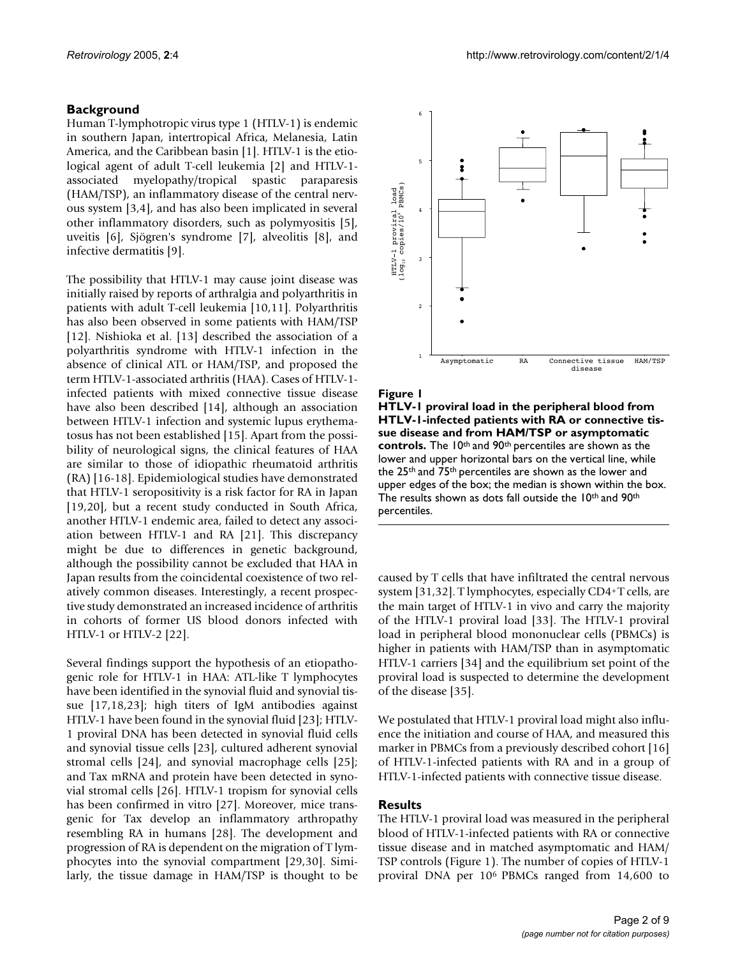## **Background**

Human T-lymphotropic virus type 1 (HTLV-1) is endemic in southern Japan, intertropical Africa, Melanesia, Latin America, and the Caribbean basin [1]. HTLV-1 is the etiological agent of adult T-cell leukemia [2] and HTLV-1 associated myelopathy/tropical spastic paraparesis (HAM/TSP), an inflammatory disease of the central nervous system [3,4], and has also been implicated in several other inflammatory disorders, such as polymyositis [5], uveitis [6], Sjögren's syndrome [7], alveolitis [8], and infective dermatitis [9].

The possibility that HTLV-1 may cause joint disease was initially raised by reports of arthralgia and polyarthritis in patients with adult T-cell leukemia [10,11]. Polyarthritis has also been observed in some patients with HAM/TSP [12]. Nishioka et al. [13] described the association of a polyarthritis syndrome with HTLV-1 infection in the absence of clinical ATL or HAM/TSP, and proposed the term HTLV-1-associated arthritis (HAA). Cases of HTLV-1 infected patients with mixed connective tissue disease have also been described [14], although an association between HTLV-1 infection and systemic lupus erythematosus has not been established [15]. Apart from the possibility of neurological signs, the clinical features of HAA are similar to those of idiopathic rheumatoid arthritis (RA) [16-18]. Epidemiological studies have demonstrated that HTLV-1 seropositivity is a risk factor for RA in Japan [19,20], but a recent study conducted in South Africa, another HTLV-1 endemic area, failed to detect any association between HTLV-1 and RA [21]. This discrepancy might be due to differences in genetic background, although the possibility cannot be excluded that HAA in Japan results from the coincidental coexistence of two relatively common diseases. Interestingly, a recent prospective study demonstrated an increased incidence of arthritis in cohorts of former US blood donors infected with HTLV-1 or HTLV-2 [22].

Several findings support the hypothesis of an etiopathogenic role for HTLV-1 in HAA: ATL-like T lymphocytes have been identified in the synovial fluid and synovial tissue [17,18,23]; high titers of IgM antibodies against HTLV-1 have been found in the synovial fluid [23]; HTLV-1 proviral DNA has been detected in synovial fluid cells and synovial tissue cells [23], cultured adherent synovial stromal cells [24], and synovial macrophage cells [25]; and Tax mRNA and protein have been detected in synovial stromal cells [26]. HTLV-1 tropism for synovial cells has been confirmed in vitro [27]. Moreover, mice transgenic for Tax develop an inflammatory arthropathy resembling RA in humans [28]. The development and progression of RA is dependent on the migration of T lymphocytes into the synovial compartment [29,30]. Similarly, the tissue damage in HAM/TSP is thought to be



#### Figure I

**HTLV-1 proviral load in the peripheral blood from HTLV-1-infected patients with RA or connective tissue disease and from HAM/TSP or asymptomatic controls.** The 10th and 90th percentiles are shown as the lower and upper horizontal bars on the vertical line, while the 25th and 75th percentiles are shown as the lower and upper edges of the box; the median is shown within the box. The results shown as dots fall outside the 10<sup>th</sup> and 90<sup>th</sup> percentiles.

caused by T cells that have infiltrated the central nervous system [31,32]. T lymphocytes, especially CD4<sup>+</sup>T cells, are the main target of HTLV-1 in vivo and carry the majority of the HTLV-1 proviral load [33]. The HTLV-1 proviral load in peripheral blood mononuclear cells (PBMCs) is higher in patients with HAM/TSP than in asymptomatic HTLV-1 carriers [34] and the equilibrium set point of the proviral load is suspected to determine the development of the disease [35].

We postulated that HTLV-1 proviral load might also influence the initiation and course of HAA, and measured this marker in PBMCs from a previously described cohort [16] of HTLV-1-infected patients with RA and in a group of HTLV-1-infected patients with connective tissue disease.

### **Results**

The HTLV-1 proviral load was measured in the peripheral blood of HTLV-1-infected patients with RA or connective tissue disease and in matched asymptomatic and HAM/ TSP controls (Figure 1). The number of copies of HTLV-1 proviral DNA per 10<sup>6</sup> PBMCs ranged from 14,600 to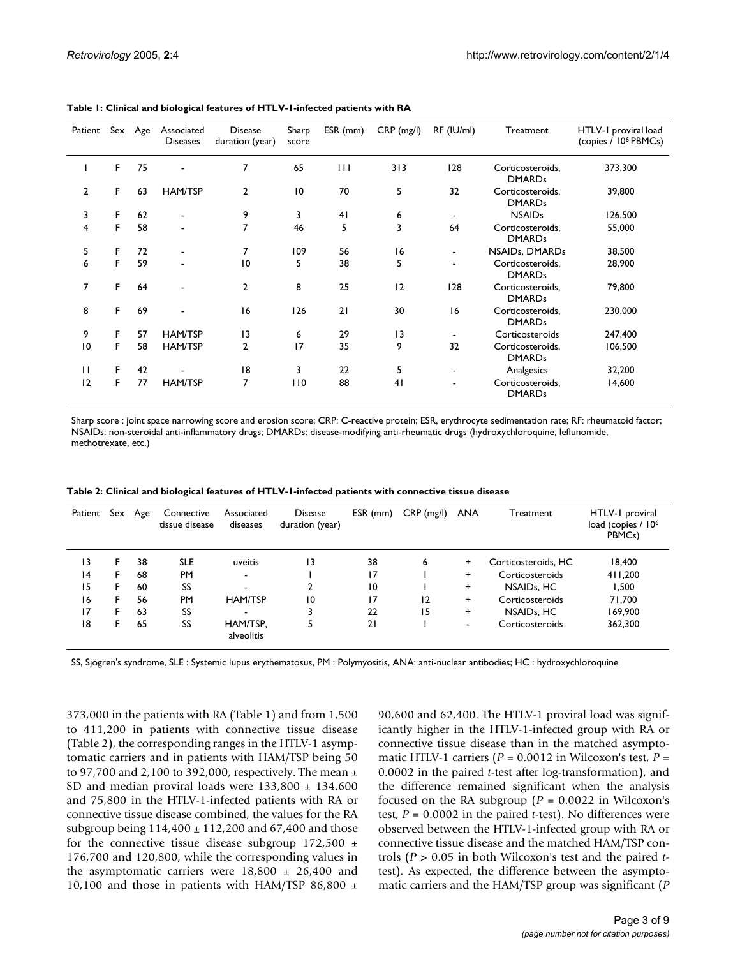| Patient      |    | Sex Age | Associated<br><b>Diseases</b> | <b>Disease</b><br>duration (year) | Sharp<br>score  | ESR (mm)     | CRP (mg/l) | RF (IU/ml)     | Treatment                         | HTLV-1 proviral load<br>(copies / 10 <sup>6</sup> PBMCs) |
|--------------|----|---------|-------------------------------|-----------------------------------|-----------------|--------------|------------|----------------|-----------------------------------|----------------------------------------------------------|
|              | F. | 75      | $\blacksquare$                | 7                                 | 65              | $\mathbf{H}$ | 313        | 128            | Corticosteroids,<br><b>DMARDs</b> | 373,300                                                  |
| 2            | F  | 63      | <b>HAM/TSP</b>                | 2                                 | $\overline{10}$ | 70           | 5          | 32             | Corticosteroids,<br><b>DMARDs</b> | 39,800                                                   |
| 3            | F  | 62      | $\blacksquare$                | 9                                 | 3               | 41           | 6          |                | <b>NSAIDs</b>                     | 126,500                                                  |
| 4            | F  | 58      | $\blacksquare$                | 7                                 | 46              | 5            | 3          | 64             | Corticosteroids.<br><b>DMARDs</b> | 55,000                                                   |
| 5            | F  | 72      | $\blacksquare$                | 7                                 | 109             | 56           | 16         |                | NSAIDs, DMARDs                    | 38,500                                                   |
| 6            | F. | 59      | $\overline{\phantom{0}}$      | 10                                | 5               | 38           | 5          |                | Corticosteroids,<br><b>DMARDs</b> | 28,900                                                   |
| 7            | F. | 64      | $\overline{\phantom{a}}$      | $\overline{2}$                    | 8               | 25           | 12         | 128            | Corticosteroids,<br><b>DMARDs</b> | 79,800                                                   |
| 8            | F  | 69      | $\blacksquare$                | 16                                | 126             | 21           | 30         | 16             | Corticosteroids,<br><b>DMARDs</b> | 230,000                                                  |
| 9            | F  | 57      | <b>HAM/TSP</b>                | 13                                | 6               | 29           | 13         | $\blacksquare$ | Corticosteroids                   | 247,400                                                  |
| 10           | F  | 58      | <b>HAM/TSP</b>                | $\overline{2}$                    | 17              | 35           | 9          | 32             | Corticosteroids.<br><b>DMARDs</b> | 106,500                                                  |
| $\mathbf{H}$ | F. | 42      |                               | 18                                | 3               | 22           | 5          |                | Analgesics                        | 32,200                                                   |
| 12           | F. | 77      | <b>HAM/TSP</b>                | 7                                 | 110             | 88           | 41         |                | Corticosteroids,<br><b>DMARDs</b> | 14,600                                                   |

<span id="page-2-0"></span>**Table 1: Clinical and biological features of HTLV-1-infected patients with RA**

Sharp score : joint space narrowing score and erosion score; CRP: C-reactive protein; ESR, erythrocyte sedimentation rate; RF: rheumatoid factor; NSAIDs: non-steroidal anti-inflammatory drugs; DMARDs: disease-modifying anti-rheumatic drugs (hydroxychloroquine, leflunomide, methotrexate, etc.)

| Patient | Sex | Age | Connective<br>tissue disease | Associated<br>diseases   | <b>Disease</b><br>duration (year) | ESR (mm)        | $CRP$ (mg/l) | <b>ANA</b>               | Treatment               | HTLV-1 proviral<br>load (copies / 10 <sup>6</sup><br>PBMC <sub>s</sub> ) |
|---------|-----|-----|------------------------------|--------------------------|-----------------------------------|-----------------|--------------|--------------------------|-------------------------|--------------------------------------------------------------------------|
| 13      | F   | 38  | <b>SLE</b>                   | uveitis                  | 13                                | 38              | 6            | $\pm$                    | Corticosteroids, HC     | 18,400                                                                   |
| 4       | F.  | 68  | <b>PM</b>                    | $\overline{\phantom{a}}$ |                                   | $\overline{17}$ |              | $\pm$                    | Corticosteroids         | 411,200                                                                  |
| 15      | F   | 60  | SS                           | -                        | $\mathbf{2}$                      | 10              |              | $\ddot{}$                | NSAID <sub>s</sub> , HC | 1,500                                                                    |
| 16      | F.  | 56  | PM                           | <b>HAM/TSP</b>           | $\overline{10}$                   | 17              | 12           | $\pm$                    | Corticosteroids         | 71,700                                                                   |
| 17      | F   | 63  | SS                           | ۰                        | 3                                 | 22              | 15           | $\ddot{}$                | NSAID <sub>s</sub> , HC | 169,900                                                                  |
| 18      | F   | 65  | SS                           | HAM/TSP,<br>alveolitis   |                                   | 21              |              | $\overline{\phantom{a}}$ | Corticosteroids         | 362,300                                                                  |

<span id="page-2-1"></span>**Table 2: Clinical and biological features of HTLV-1-infected patients with connective tissue disease**

SS, Sjögren's syndrome, SLE : Systemic lupus erythematosus, PM : Polymyositis, ANA: anti-nuclear antibodies; HC : hydroxychloroquine

373,000 in the patients with RA (Table [1](#page-2-0)) and from 1,500 to 411,200 in patients with connective tissue disease (Table [2](#page-2-1)), the corresponding ranges in the HTLV-1 asymptomatic carriers and in patients with HAM/TSP being 50 to 97,700 and 2,100 to 392,000, respectively. The mean  $\pm$ SD and median proviral loads were  $133,800 \pm 134,600$ and 75,800 in the HTLV-1-infected patients with RA or connective tissue disease combined, the values for the RA subgroup being  $114,400 \pm 112,200$  and  $67,400$  and those for the connective tissue disease subgroup  $172,500 \pm$ 176,700 and 120,800, while the corresponding values in the asymptomatic carriers were  $18,800 \pm 26,400$  and 10,100 and those in patients with HAM/TSP 86,800  $\pm$ 

90,600 and 62,400. The HTLV-1 proviral load was significantly higher in the HTLV-1-infected group with RA or connective tissue disease than in the matched asymptomatic HTLV-1 carriers  $(P = 0.0012$  in Wilcoxon's test,  $P =$ 0.0002 in the paired *t*-test after log-transformation), and the difference remained significant when the analysis focused on the RA subgroup  $(P = 0.0022$  in Wilcoxon's test, *P* = 0.0002 in the paired *t*-test). No differences were observed between the HTLV-1-infected group with RA or connective tissue disease and the matched HAM/TSP controls (*P* > 0.05 in both Wilcoxon's test and the paired *t*test). As expected, the difference between the asymptomatic carriers and the HAM/TSP group was significant (*P*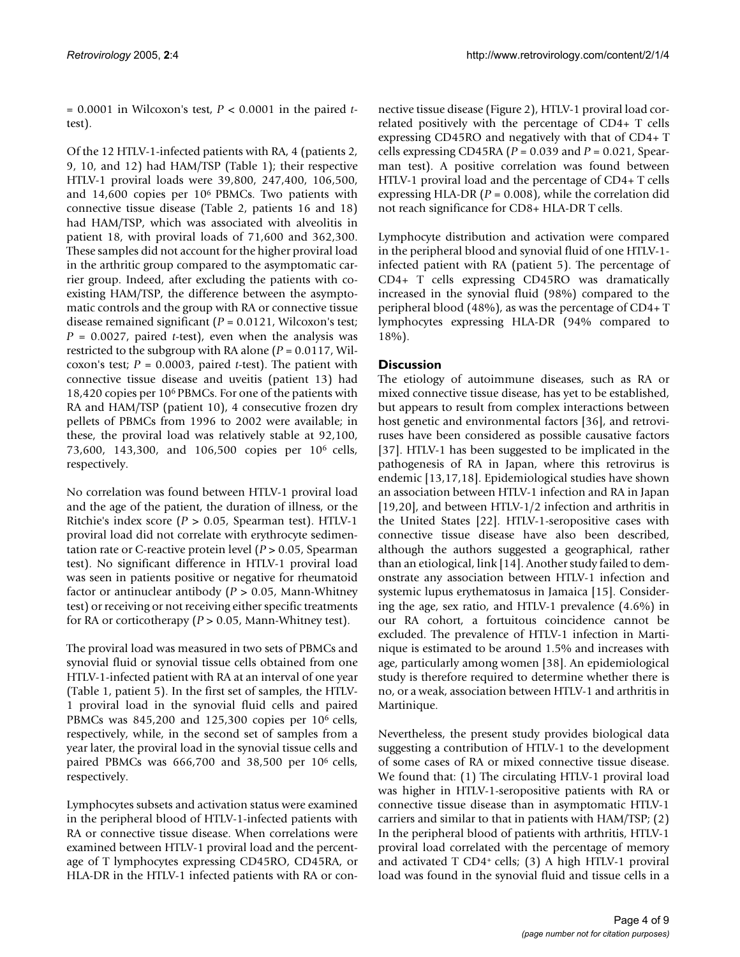= 0.0001 in Wilcoxon's test, *P* < 0.0001 in the paired *t*test).

Of the 12 HTLV-1-infected patients with RA, 4 (patients 2, 9, 10, and 12) had HAM/TSP (Table [1\)](#page-2-0); their respective HTLV-1 proviral loads were 39,800, 247,400, 106,500, and  $14,600$  copies per  $10<sup>6</sup>$  PBMCs. Two patients with connective tissue disease (Table [2](#page-2-1), patients 16 and 18) had HAM/TSP, which was associated with alveolitis in patient 18, with proviral loads of 71,600 and 362,300. These samples did not account for the higher proviral load in the arthritic group compared to the asymptomatic carrier group. Indeed, after excluding the patients with coexisting HAM/TSP, the difference between the asymptomatic controls and the group with RA or connective tissue disease remained significant (*P* = 0.0121, Wilcoxon's test; *P* = 0.0027, paired *t*-test), even when the analysis was restricted to the subgroup with RA alone (*P* = 0.0117, Wilcoxon's test; *P* = 0.0003, paired *t*-test). The patient with connective tissue disease and uveitis (patient 13) had 18,420 copies per 10<sup>6</sup> PBMCs. For one of the patients with RA and HAM/TSP (patient 10), 4 consecutive frozen dry pellets of PBMCs from 1996 to 2002 were available; in these, the proviral load was relatively stable at 92,100, 73,600, 143,300, and 106,500 copies per 10<sup>6</sup> cells, respectively.

No correlation was found between HTLV-1 proviral load and the age of the patient, the duration of illness, or the Ritchie's index score (*P* > 0.05, Spearman test). HTLV-1 proviral load did not correlate with erythrocyte sedimentation rate or C-reactive protein level (*P* > 0.05, Spearman test). No significant difference in HTLV-1 proviral load was seen in patients positive or negative for rheumatoid factor or antinuclear antibody (*P* > 0.05, Mann-Whitney test) or receiving or not receiving either specific treatments for RA or corticotherapy (*P* > 0.05, Mann-Whitney test).

The proviral load was measured in two sets of PBMCs and synovial fluid or synovial tissue cells obtained from one HTLV-1-infected patient with RA at an interval of one year (Table [1](#page-2-0), patient 5). In the first set of samples, the HTLV-1 proviral load in the synovial fluid cells and paired PBMCs was  $845,200$  and  $125,300$  copies per  $10^6$  cells, respectively, while, in the second set of samples from a year later, the proviral load in the synovial tissue cells and paired PBMCs was  $666,700$  and  $38,500$  per  $10^6$  cells, respectively.

Lymphocytes subsets and activation status were examined in the peripheral blood of HTLV-1-infected patients with RA or connective tissue disease. When correlations were examined between HTLV-1 proviral load and the percentage of T lymphocytes expressing CD45RO, CD45RA, or HLA-DR in the HTLV-1 infected patients with RA or connective tissue disease (Figure 2), HTLV-1 proviral load correlated positively with the percentage of CD4+ T cells expressing CD45RO and negatively with that of CD4+ T cells expressing CD45RA (*P* = 0.039 and *P* = 0.021, Spearman test). A positive correlation was found between HTLV-1 proviral load and the percentage of CD4+ T cells expressing HLA-DR (*P* = 0.008), while the correlation did not reach significance for CD8+ HLA-DR T cells.

Lymphocyte distribution and activation were compared in the peripheral blood and synovial fluid of one HTLV-1 infected patient with RA (patient 5). The percentage of CD4+ T cells expressing CD45RO was dramatically increased in the synovial fluid (98%) compared to the peripheral blood (48%), as was the percentage of CD4+ T lymphocytes expressing HLA-DR (94% compared to 18%).

# **Discussion**

The etiology of autoimmune diseases, such as RA or mixed connective tissue disease, has yet to be established, but appears to result from complex interactions between host genetic and environmental factors [36], and retroviruses have been considered as possible causative factors [37]. HTLV-1 has been suggested to be implicated in the pathogenesis of RA in Japan, where this retrovirus is endemic [13,17,18]. Epidemiological studies have shown an association between HTLV-1 infection and RA in Japan [19,20], and between HTLV-1/2 infection and arthritis in the United States [22]. HTLV-1-seropositive cases with connective tissue disease have also been described, although the authors suggested a geographical, rather than an etiological, link [14]. Another study failed to demonstrate any association between HTLV-1 infection and systemic lupus erythematosus in Jamaica [15]. Considering the age, sex ratio, and HTLV-1 prevalence (4.6%) in our RA cohort, a fortuitous coincidence cannot be excluded. The prevalence of HTLV-1 infection in Martinique is estimated to be around 1.5% and increases with age, particularly among women [38]. An epidemiological study is therefore required to determine whether there is no, or a weak, association between HTLV-1 and arthritis in Martinique.

Nevertheless, the present study provides biological data suggesting a contribution of HTLV-1 to the development of some cases of RA or mixed connective tissue disease. We found that: (1) The circulating HTLV-1 proviral load was higher in HTLV-1-seropositive patients with RA or connective tissue disease than in asymptomatic HTLV-1 carriers and similar to that in patients with HAM/TSP; (2) In the peripheral blood of patients with arthritis, HTLV-1 proviral load correlated with the percentage of memory and activated T CD4+ cells;  $(3)$  A high HTLV-1 proviral load was found in the synovial fluid and tissue cells in a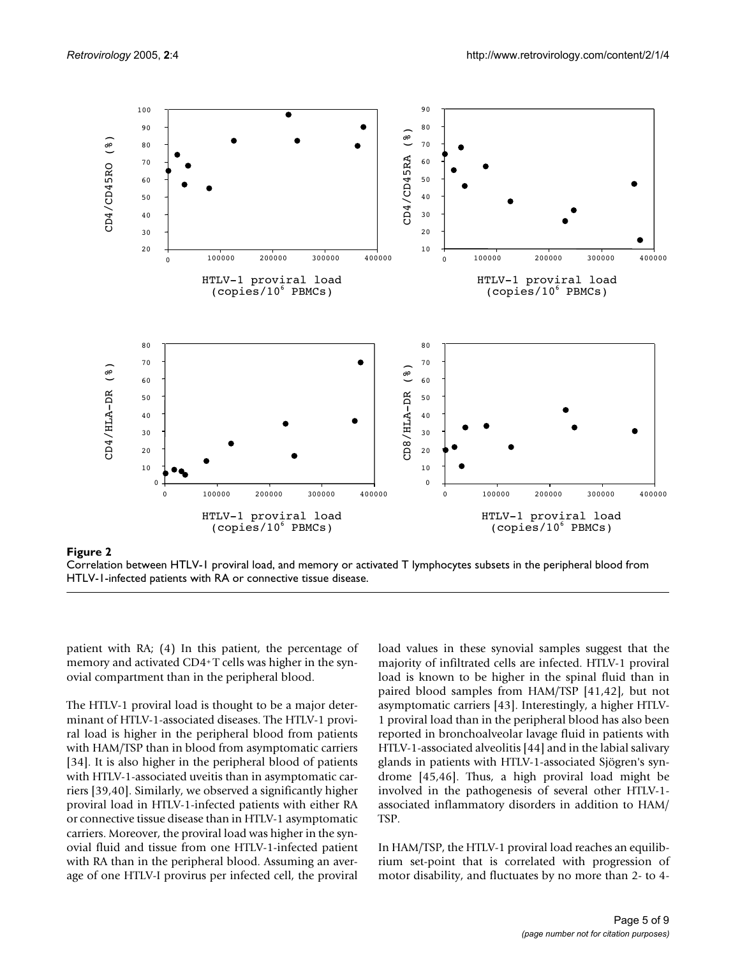

**Figure 2** Correlation between HTLV-1 proviral lo HTLV-1-infected patients with RA or connective ad, and memory or activated T lymphocyte tissue disease s subsets in the peripheral blood from

Correlation between HTLV-1 proviral load, and memory or activated T lymphocytes subsets in the peripheral blood from HTLV-1-infected patients with RA or connective tissue disease.

patient with RA; (4) In this patient, the percentage of memory and activated CD4+T cells was higher in the synovial compartment than in the peripheral blood.

The HTLV-1 proviral load is thought to be a major determinant of HTLV-1-associated diseases. The HTLV-1 proviral load is higher in the peripheral blood from patients with HAM/TSP than in blood from asymptomatic carriers [34]. It is also higher in the peripheral blood of patients with HTLV-1-associated uveitis than in asymptomatic carriers [39,40]. Similarly, we observed a significantly higher proviral load in HTLV-1-infected patients with either RA or connective tissue disease than in HTLV-1 asymptomatic carriers. Moreover, the proviral load was higher in the synovial fluid and tissue from one HTLV-1-infected patient with RA than in the peripheral blood. Assuming an average of one HTLV-I provirus per infected cell, the proviral

load values in these synovial samples suggest that the majority of infiltrated cells are infected. HTLV-1 proviral load is known to be higher in the spinal fluid than in paired blood samples from HAM/TSP [41,42], but not asymptomatic carriers [43]. Interestingly, a higher HTLV-1 proviral load than in the peripheral blood has also been reported in bronchoalveolar lavage fluid in patients with HTLV-1-associated alveolitis [44] and in the labial salivary glands in patients with HTLV-1-associated Sjögren's syndrome [45,46]. Thus, a high proviral load might be involved in the pathogenesis of several other HTLV-1 associated inflammatory disorders in addition to HAM/ TSP.

In HAM/TSP, the HTLV-1 proviral load reaches an equilibrium set-point that is correlated with progression of motor disability, and fluctuates by no more than 2- to 4-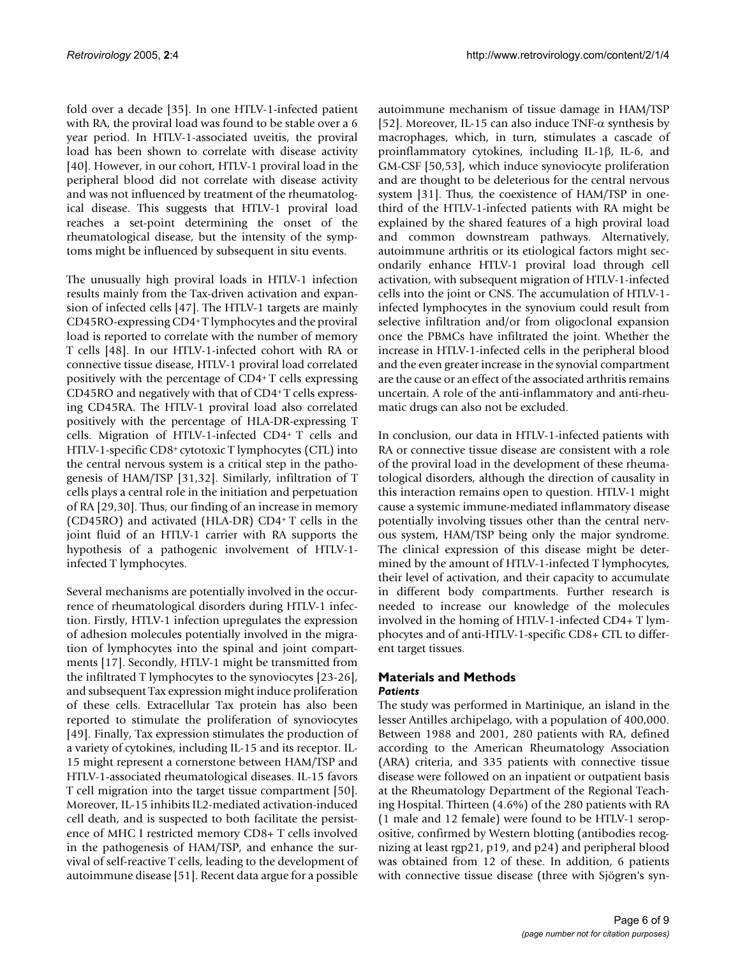fold over a decade [35]. In one HTLV-1-infected patient with RA, the proviral load was found to be stable over a 6 year period. In HTLV-1-associated uveitis, the proviral load has been shown to correlate with disease activity [40]. However, in our cohort, HTLV-1 proviral load in the peripheral blood did not correlate with disease activity and was not influenced by treatment of the rheumatological disease. This suggests that HTLV-1 proviral load reaches a set-point determining the onset of the rheumatological disease, but the intensity of the symptoms might be influenced by subsequent in situ events.

The unusually high proviral loads in HTLV-1 infection results mainly from the Tax-driven activation and expansion of infected cells [47]. The HTLV-1 targets are mainly CD45RO-expressing CD4<sup>+</sup>T lymphocytes and the proviral load is reported to correlate with the number of memory T cells [48]. In our HTLV-1-infected cohort with RA or connective tissue disease, HTLV-1 proviral load correlated positively with the percentage of CD4<sup>+</sup>T cells expressing CD45RO and negatively with that of CD4+ T cells expressing CD45RA. The HTLV-1 proviral load also correlated positively with the percentage of HLA-DR-expressing T cells. Migration of HTLV-1-infected CD4<sup>+</sup>T cells and HTLV-1-specific CD8+ cytotoxic T lymphocytes (CTL) into the central nervous system is a critical step in the pathogenesis of HAM/TSP [31,32]. Similarly, infiltration of T cells plays a central role in the initiation and perpetuation of RA [29,30]. Thus, our finding of an increase in memory (CD45RO) and activated (HLA-DR) CD4<sup>+</sup>T cells in the joint fluid of an HTLV-1 carrier with RA supports the hypothesis of a pathogenic involvement of HTLV-1 infected T lymphocytes.

Several mechanisms are potentially involved in the occurrence of rheumatological disorders during HTLV-1 infection. Firstly, HTLV-1 infection upregulates the expression of adhesion molecules potentially involved in the migration of lymphocytes into the spinal and joint compartments [17]. Secondly, HTLV-1 might be transmitted from the infiltrated T lymphocytes to the synoviocytes [23-26], and subsequent Tax expression might induce proliferation of these cells. Extracellular Tax protein has also been reported to stimulate the proliferation of synoviocytes [49]. Finally, Tax expression stimulates the production of a variety of cytokines, including IL-15 and its receptor. IL-15 might represent a cornerstone between HAM/TSP and HTLV-1-associated rheumatological diseases. IL-15 favors T cell migration into the target tissue compartment [50]. Moreover, IL-15 inhibits IL2-mediated activation-induced cell death, and is suspected to both facilitate the persistence of MHC I restricted memory CD8+ T cells involved in the pathogenesis of HAM/TSP, and enhance the survival of self-reactive T cells, leading to the development of autoimmune disease [51]. Recent data argue for a possible autoimmune mechanism of tissue damage in HAM/TSP [52]. Moreover, IL-15 can also induce TNF- $\alpha$  synthesis by macrophages, which, in turn, stimulates a cascade of proinflammatory cytokines, including IL-1β, IL-6, and GM-CSF [50,53], which induce synoviocyte proliferation and are thought to be deleterious for the central nervous system [31]. Thus, the coexistence of HAM/TSP in onethird of the HTLV-1-infected patients with RA might be explained by the shared features of a high proviral load and common downstream pathways. Alternatively, autoimmune arthritis or its etiological factors might secondarily enhance HTLV-1 proviral load through cell activation, with subsequent migration of HTLV-1-infected cells into the joint or CNS. The accumulation of HTLV-1 infected lymphocytes in the synovium could result from selective infiltration and/or from oligoclonal expansion once the PBMCs have infiltrated the joint. Whether the increase in HTLV-1-infected cells in the peripheral blood and the even greater increase in the synovial compartment are the cause or an effect of the associated arthritis remains uncertain. A role of the anti-inflammatory and anti-rheumatic drugs can also not be excluded.

In conclusion, our data in HTLV-1-infected patients with RA or connective tissue disease are consistent with a role of the proviral load in the development of these rheumatological disorders, although the direction of causality in this interaction remains open to question. HTLV-1 might cause a systemic immune-mediated inflammatory disease potentially involving tissues other than the central nervous system, HAM/TSP being only the major syndrome. The clinical expression of this disease might be determined by the amount of HTLV-1-infected T lymphocytes, their level of activation, and their capacity to accumulate in different body compartments. Further research is needed to increase our knowledge of the molecules involved in the homing of HTLV-1-infected CD4+ T lymphocytes and of anti-HTLV-1-specific CD8+ CTL to different target tissues.

### **Materials and Methods** *Patients*

The study was performed in Martinique, an island in the lesser Antilles archipelago, with a population of 400,000. Between 1988 and 2001, 280 patients with RA, defined according to the American Rheumatology Association (ARA) criteria, and 335 patients with connective tissue disease were followed on an inpatient or outpatient basis at the Rheumatology Department of the Regional Teaching Hospital. Thirteen (4.6%) of the 280 patients with RA (1 male and 12 female) were found to be HTLV-1 seropositive, confirmed by Western blotting (antibodies recognizing at least rgp21, p19, and p24) and peripheral blood was obtained from 12 of these. In addition, 6 patients with connective tissue disease (three with Sjögren's syn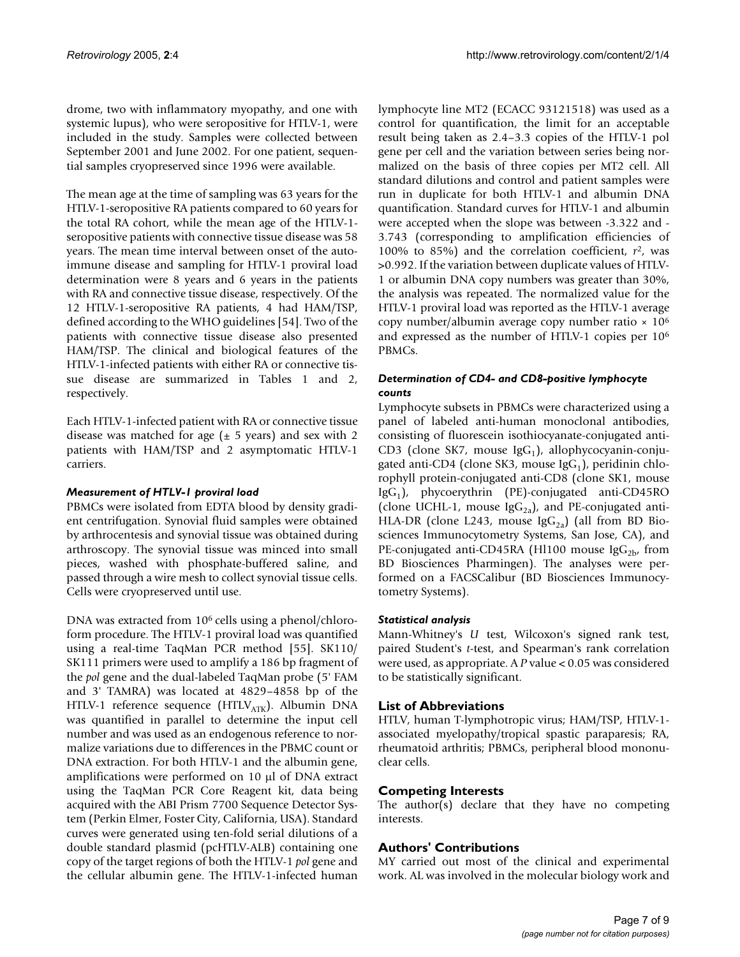drome, two with inflammatory myopathy, and one with systemic lupus), who were seropositive for HTLV-1, were included in the study. Samples were collected between September 2001 and June 2002. For one patient, sequential samples cryopreserved since 1996 were available.

The mean age at the time of sampling was 63 years for the HTLV-1-seropositive RA patients compared to 60 years for the total RA cohort, while the mean age of the HTLV-1 seropositive patients with connective tissue disease was 58 years. The mean time interval between onset of the autoimmune disease and sampling for HTLV-1 proviral load determination were 8 years and 6 years in the patients with RA and connective tissue disease, respectively. Of the 12 HTLV-1-seropositive RA patients, 4 had HAM/TSP, defined according to the WHO guidelines [54]. Two of the patients with connective tissue disease also presented HAM/TSP. The clinical and biological features of the HTLV-1-infected patients with either RA or connective tissue disease are summarized in Tables [1](#page-2-0) and [2,](#page-2-1) respectively.

Each HTLV-1-infected patient with RA or connective tissue disease was matched for age  $(\pm 5 \text{ years})$  and sex with 2 patients with HAM/TSP and 2 asymptomatic HTLV-1 carriers.

#### *Measurement of HTLV-1 proviral load*

PBMCs were isolated from EDTA blood by density gradient centrifugation. Synovial fluid samples were obtained by arthrocentesis and synovial tissue was obtained during arthroscopy. The synovial tissue was minced into small pieces, washed with phosphate-buffered saline, and passed through a wire mesh to collect synovial tissue cells. Cells were cryopreserved until use.

DNA was extracted from 10<sup>6</sup> cells using a phenol/chloroform procedure. The HTLV-1 proviral load was quantified using a real-time TaqMan PCR method [55]. SK110/ SK111 primers were used to amplify a 186 bp fragment of the *pol* gene and the dual-labeled TaqMan probe (5' FAM and 3' TAMRA) was located at 4829–4858 bp of the HTLV-1 reference sequence (HTLV $_{ATK}$ ). Albumin DNA was quantified in parallel to determine the input cell number and was used as an endogenous reference to normalize variations due to differences in the PBMC count or DNA extraction. For both HTLV-1 and the albumin gene, amplifications were performed on 10 µl of DNA extract using the TaqMan PCR Core Reagent kit, data being acquired with the ABI Prism 7700 Sequence Detector System (Perkin Elmer, Foster City, California, USA). Standard curves were generated using ten-fold serial dilutions of a double standard plasmid (pcHTLV-ALB) containing one copy of the target regions of both the HTLV-1 *pol* gene and the cellular albumin gene. The HTLV-1-infected human

lymphocyte line MT2 (ECACC 93121518) was used as a control for quantification, the limit for an acceptable result being taken as 2.4–3.3 copies of the HTLV-1 pol gene per cell and the variation between series being normalized on the basis of three copies per MT2 cell. All standard dilutions and control and patient samples were run in duplicate for both HTLV-1 and albumin DNA quantification. Standard curves for HTLV-1 and albumin were accepted when the slope was between -3.322 and - 3.743 (corresponding to amplification efficiencies of 100% to 85%) and the correlation coefficient,  $r^2$ , was >0.992. If the variation between duplicate values of HTLV-1 or albumin DNA copy numbers was greater than 30%, the analysis was repeated. The normalized value for the HTLV-1 proviral load was reported as the HTLV-1 average copy number/albumin average copy number ratio  $\times 10^6$ and expressed as the number of HTLV-1 copies per 10<sup>6</sup> PBMCs.

#### *Determination of CD4- and CD8-positive lymphocyte counts*

Lymphocyte subsets in PBMCs were characterized using a panel of labeled anti-human monoclonal antibodies, consisting of fluorescein isothiocyanate-conjugated anti-CD3 (clone SK7, mouse Ig $G_1$ ), allophycocyanin-conjugated anti-CD4 (clone SK3, mouse Ig $G_1$ ), peridinin chlorophyll protein-conjugated anti-CD8 (clone SK1, mouse IgG<sub>1</sub>), phycoerythrin (PE)-conjugated anti-CD45RO (clone UCHL-1, mouse Ig $G_{2a}$ ), and PE-conjugated anti-HLA-DR (clone L243, mouse  $\text{IgG}_{2a}$ ) (all from BD Biosciences Immunocytometry Systems, San Jose, CA), and PE-conjugated anti-CD45RA (Hl100 mouse  $\text{IgG}_{2\text{b}}$ , from BD Biosciences Pharmingen). The analyses were performed on a FACSCalibur (BD Biosciences Immunocytometry Systems).

### *Statistical analysis*

Mann-Whitney's *U* test, Wilcoxon's signed rank test, paired Student's *t*-test, and Spearman's rank correlation were used, as appropriate. A *P* value < 0.05 was considered to be statistically significant.

### **List of Abbreviations**

HTLV, human T-lymphotropic virus; HAM/TSP, HTLV-1 associated myelopathy/tropical spastic paraparesis; RA, rheumatoid arthritis; PBMCs, peripheral blood mononuclear cells.

### **Competing Interests**

The author(s) declare that they have no competing interests.

# **Authors' Contributions**

MY carried out most of the clinical and experimental work. AL was involved in the molecular biology work and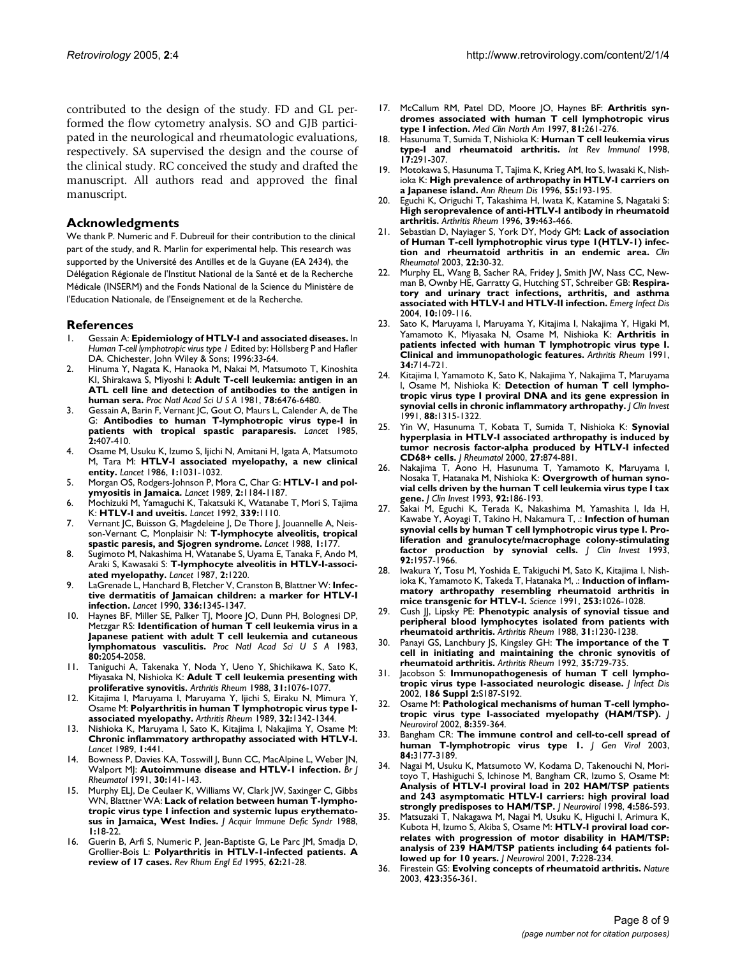contributed to the design of the study. FD and GL performed the flow cytometry analysis. SO and GJB participated in the neurological and rheumatologic evaluations, respectively. SA supervised the design and the course of the clinical study. RC conceived the study and drafted the manuscript. All authors read and approved the final manuscript.

#### **Acknowledgments**

We thank P. Numeric and F. Dubreuil for their contribution to the clinical part of the study, and R. Marlin for experimental help. This research was supported by the Université des Antilles et de la Guyane (EA 2434), the Délégation Régionale de l'Institut National de la Santé et de la Recherche Médicale (INSERM) and the Fonds National de la Science du Ministère de l'Education Nationale, de l'Enseignement et de la Recherche.

#### **References**

- 1. Gessain A: **Epidemiology of HTLV-I and associated diseases.** In *Human T-cell lymphotropic virus type 1* Edited by: Höllsberg P and Hafler DA. Chichester, John Wiley & Sons; 1996:33-64.
- 2. Hinuma Y, Nagata K, Hanaoka M, Nakai M, Matsumoto T, Kinoshita KI, Shirakawa S, Miyoshi I: **[Adult T-cell leukemia: antigen in an](http://www.ncbi.nlm.nih.gov/entrez/query.fcgi?cmd=Retrieve&db=PubMed&dopt=Abstract&list_uids=7031654) [ATL cell line and detection of antibodies to the antigen in](http://www.ncbi.nlm.nih.gov/entrez/query.fcgi?cmd=Retrieve&db=PubMed&dopt=Abstract&list_uids=7031654) [human sera.](http://www.ncbi.nlm.nih.gov/entrez/query.fcgi?cmd=Retrieve&db=PubMed&dopt=Abstract&list_uids=7031654)** *Proc Natl Acad Sci U S A* 1981, **78:**6476-6480.
- 3. Gessain A, Barin F, Vernant JC, Gout O, Maurs L, Calender A, de The G: **[Antibodies to human T-lymphotropic virus type-I in](http://www.ncbi.nlm.nih.gov/entrez/query.fcgi?cmd=Retrieve&db=PubMed&dopt=Abstract&list_uids=2863442) [patients with tropical spastic paraparesis.](http://www.ncbi.nlm.nih.gov/entrez/query.fcgi?cmd=Retrieve&db=PubMed&dopt=Abstract&list_uids=2863442)** *Lancet* 1985, **2:**407-410.
- 4. Osame M, Usuku K, Izumo S, Ijichi N, Amitani H, Igata A, Matsumoto M, Tara M: **[HTLV-I associated myelopathy, a new clinical](http://www.ncbi.nlm.nih.gov/entrez/query.fcgi?cmd=Retrieve&db=PubMed&dopt=Abstract&list_uids=2871307) [entity.](http://www.ncbi.nlm.nih.gov/entrez/query.fcgi?cmd=Retrieve&db=PubMed&dopt=Abstract&list_uids=2871307)** *Lancet* 1986, **1:**1031-1032.
- 5. Morgan OS, Rodgers-Johnson P, Mora C, Char G: **[HTLV-1 and pol](http://www.ncbi.nlm.nih.gov/entrez/query.fcgi?cmd=Retrieve&db=PubMed&dopt=Abstract&list_uids=2572904)[ymyositis in Jamaica.](http://www.ncbi.nlm.nih.gov/entrez/query.fcgi?cmd=Retrieve&db=PubMed&dopt=Abstract&list_uids=2572904)** *Lancet* 1989, **2:**1184-1187.
- 6. Mochizuki M, Yamaguchi K, Takatsuki K, Watanabe T, Mori S, Tajima K: **[HTLV-I and uveitis.](http://www.ncbi.nlm.nih.gov/entrez/query.fcgi?cmd=Retrieve&db=PubMed&dopt=Abstract&list_uids=1349119)** *Lancet* 1992, **339:**1110.
- 7. Vernant JC, Buisson G, Magdeleine J, De Thore J, Jouannelle A, Neisson-Vernant C, Monplaisir N: **[T-lymphocyte alveolitis, tropical](http://www.ncbi.nlm.nih.gov/entrez/query.fcgi?cmd=Retrieve&db=PubMed&dopt=Abstract&list_uids=2893008) [spastic paresis, and Sjogren syndrome.](http://www.ncbi.nlm.nih.gov/entrez/query.fcgi?cmd=Retrieve&db=PubMed&dopt=Abstract&list_uids=2893008)** *Lancet* 1988, **1:**177.
- 8. Sugimoto M, Nakashima H, Watanabe S, Uyama E, Tanaka F, Ando M, Araki S, Kawasaki S: **[T-lymphocyte alveolitis in HTLV-I-associ](http://www.ncbi.nlm.nih.gov/entrez/query.fcgi?cmd=Retrieve&db=PubMed&dopt=Abstract&list_uids=2890850)[ated myelopathy.](http://www.ncbi.nlm.nih.gov/entrez/query.fcgi?cmd=Retrieve&db=PubMed&dopt=Abstract&list_uids=2890850)** *Lancet* 1987, **2:**1220.
- 9. LaGrenade L, Hanchard B, Fletcher V, Cranston B, Blattner W: **[Infec](http://www.ncbi.nlm.nih.gov/entrez/query.fcgi?cmd=Retrieve&db=PubMed&dopt=Abstract&list_uids=1978165)[tive dermatitis of Jamaican children: a marker for HTLV-I](http://www.ncbi.nlm.nih.gov/entrez/query.fcgi?cmd=Retrieve&db=PubMed&dopt=Abstract&list_uids=1978165) [infection.](http://www.ncbi.nlm.nih.gov/entrez/query.fcgi?cmd=Retrieve&db=PubMed&dopt=Abstract&list_uids=1978165)** *Lancet* 1990, **336:**1345-1347.
- 10. Haynes BF, Miller SE, Palker TJ, Moore JO, Dunn PH, Bolognesi DP, Metzgar RS: **[Identification of human T cell leukemia virus in a](http://www.ncbi.nlm.nih.gov/entrez/query.fcgi?cmd=Retrieve&db=PubMed&dopt=Abstract&list_uids=6601276) [Japanese patient with adult T cell leukemia and cutaneous](http://www.ncbi.nlm.nih.gov/entrez/query.fcgi?cmd=Retrieve&db=PubMed&dopt=Abstract&list_uids=6601276) [lymphomatous vasculitis.](http://www.ncbi.nlm.nih.gov/entrez/query.fcgi?cmd=Retrieve&db=PubMed&dopt=Abstract&list_uids=6601276)** *Proc Natl Acad Sci U S A* 1983, **80:**2054-2058.
- 11. Taniguchi A, Takenaka Y, Noda Y, Ueno Y, Shichikawa K, Sato K, Miyasaka N, Nishioka K: **[Adult T cell leukemia presenting with](http://www.ncbi.nlm.nih.gov/entrez/query.fcgi?cmd=Retrieve&db=PubMed&dopt=Abstract&list_uids=2900640) [proliferative synovitis.](http://www.ncbi.nlm.nih.gov/entrez/query.fcgi?cmd=Retrieve&db=PubMed&dopt=Abstract&list_uids=2900640)** *Arthritis Rheum* 1988, **31:**1076-1077.
- Kitajima I, Maruyama I, Maruyama Y, Ijichi S, Eiraku N, Mimura Y, Osame M: **[Polyarthritis in human T lymphotropic virus type I](http://www.ncbi.nlm.nih.gov/entrez/query.fcgi?cmd=Retrieve&db=PubMed&dopt=Abstract&list_uids=2803335)[associated myelopathy.](http://www.ncbi.nlm.nih.gov/entrez/query.fcgi?cmd=Retrieve&db=PubMed&dopt=Abstract&list_uids=2803335)** *Arthritis Rheum* 1989, **32:**1342-1344.
- 13. Nishioka K, Maruyama I, Sato K, Kitajima I, Nakajima Y, Osame M: **[Chronic inflammatory arthropathy associated with HTLV-I.](http://www.ncbi.nlm.nih.gov/entrez/query.fcgi?cmd=Retrieve&db=PubMed&dopt=Abstract&list_uids=2563817)** *Lancet* 1989, **1:**441.
- 14. Bowness P, Davies KA, Tosswill J, Bunn CC, MacAlpine L, Weber JN, Walport MJ: **[Autoimmune disease and HTLV-1 infection.](http://www.ncbi.nlm.nih.gov/entrez/query.fcgi?cmd=Retrieve&db=PubMed&dopt=Abstract&list_uids=2012945)** *Br J Rheumatol* 1991, **30:**141-143.
- 15. Murphy ELJ, De Ceulaer K, Williams W, Clark JW, Saxinger C, Gibbs WN, Blattner WA: **[Lack of relation between human T-lympho](http://www.ncbi.nlm.nih.gov/entrez/query.fcgi?cmd=Retrieve&db=PubMed&dopt=Abstract&list_uids=3216294)[tropic virus type I infection and systemic lupus erythemato](http://www.ncbi.nlm.nih.gov/entrez/query.fcgi?cmd=Retrieve&db=PubMed&dopt=Abstract&list_uids=3216294)[sus in Jamaica, West Indies.](http://www.ncbi.nlm.nih.gov/entrez/query.fcgi?cmd=Retrieve&db=PubMed&dopt=Abstract&list_uids=3216294)** *J Acquir Immune Defic Syndr* 1988, **1:**18-22.
- 16. Guerin B, Arfi S, Numeric P, Jean-Baptiste G, Le Parc JM, Smadja D, Grollier-Bois L: **[Polyarthritis in HTLV-1-infected patients. A](http://www.ncbi.nlm.nih.gov/entrez/query.fcgi?cmd=Retrieve&db=PubMed&dopt=Abstract&list_uids=7788319) [review of 17 cases.](http://www.ncbi.nlm.nih.gov/entrez/query.fcgi?cmd=Retrieve&db=PubMed&dopt=Abstract&list_uids=7788319)** *Rev Rhum Engl Ed* 1995, **62:**21-28.
- 17. McCallum RM, Patel DD, Moore JO, Haynes BF: **[Arthritis syn](http://www.ncbi.nlm.nih.gov/entrez/query.fcgi?cmd=Retrieve&db=PubMed&dopt=Abstract&list_uids=9012764)[dromes associated with human T cell lymphotropic virus](http://www.ncbi.nlm.nih.gov/entrez/query.fcgi?cmd=Retrieve&db=PubMed&dopt=Abstract&list_uids=9012764) [type I infection.](http://www.ncbi.nlm.nih.gov/entrez/query.fcgi?cmd=Retrieve&db=PubMed&dopt=Abstract&list_uids=9012764)** *Med Clin North Am* 1997, **81:**261-276.
- 18. Hasunuma T, Sumida T, Nishioka K: **[Human T cell leukemia virus](http://www.ncbi.nlm.nih.gov/entrez/query.fcgi?cmd=Retrieve&db=PubMed&dopt=Abstract&list_uids=10036636) [type-I and rheumatoid arthritis.](http://www.ncbi.nlm.nih.gov/entrez/query.fcgi?cmd=Retrieve&db=PubMed&dopt=Abstract&list_uids=10036636)** *Int Rev Immunol* 1998, **17:**291-307.
- 19. Motokawa S, Hasunuma T, Tajima K, Krieg AM, Ito S, Iwasaki K, Nishioka K: **[High prevalence of arthropathy in HTLV-I carriers on](http://www.ncbi.nlm.nih.gov/entrez/query.fcgi?cmd=Retrieve&db=PubMed&dopt=Abstract&list_uids=8712884) [a Japanese island.](http://www.ncbi.nlm.nih.gov/entrez/query.fcgi?cmd=Retrieve&db=PubMed&dopt=Abstract&list_uids=8712884)** *Ann Rheum Dis* 1996, **55:**193-195.
- Eguchi K, Origuchi T, Takashima H, Iwata K, Katamine S, Nagataki S: **[High seroprevalence of anti-HTLV-I antibody in rheumatoid](http://www.ncbi.nlm.nih.gov/entrez/query.fcgi?cmd=Retrieve&db=PubMed&dopt=Abstract&list_uids=8607895) [arthritis.](http://www.ncbi.nlm.nih.gov/entrez/query.fcgi?cmd=Retrieve&db=PubMed&dopt=Abstract&list_uids=8607895)** *Arthritis Rheum* 1996, **39:**463-466.
- 21. Sebastian D, Nayiager S, York DY, Mody GM: **[Lack of association](http://www.ncbi.nlm.nih.gov/entrez/query.fcgi?cmd=Retrieve&db=PubMed&dopt=Abstract&list_uids=12605314) [of Human T-cell lymphotrophic virus type 1\(HTLV-1\) infec](http://www.ncbi.nlm.nih.gov/entrez/query.fcgi?cmd=Retrieve&db=PubMed&dopt=Abstract&list_uids=12605314)[tion and rheumatoid arthritis in an endemic area.](http://www.ncbi.nlm.nih.gov/entrez/query.fcgi?cmd=Retrieve&db=PubMed&dopt=Abstract&list_uids=12605314)** *Clin Rheumatol* 2003, **22:**30-32.
- Murphy EL, Wang B, Sacher RA, Fridey J, Smith JW, Nass CC, Newman B, Ownby HE, Garratty G, Hutching ST, Schreiber GB: **[Respira](http://www.ncbi.nlm.nih.gov/entrez/query.fcgi?cmd=Retrieve&db=PubMed&dopt=Abstract&list_uids=15078605)[tory and urinary tract infections, arthritis, and asthma](http://www.ncbi.nlm.nih.gov/entrez/query.fcgi?cmd=Retrieve&db=PubMed&dopt=Abstract&list_uids=15078605) [associated with HTLV-I and HTLV-II infection.](http://www.ncbi.nlm.nih.gov/entrez/query.fcgi?cmd=Retrieve&db=PubMed&dopt=Abstract&list_uids=15078605)** *Emerg Infect Dis* 2004, **10:**109-116.
- Sato K, Maruyama I, Maruyama Y, Kitajima I, Nakajima Y, Higaki M, Yamamoto K, Miyasaka N, Osame M, Nishioka K: **[Arthritis in](http://www.ncbi.nlm.nih.gov/entrez/query.fcgi?cmd=Retrieve&db=PubMed&dopt=Abstract&list_uids=2053917) [patients infected with human T lymphotropic virus type I.](http://www.ncbi.nlm.nih.gov/entrez/query.fcgi?cmd=Retrieve&db=PubMed&dopt=Abstract&list_uids=2053917) [Clinical and immunopathologic features.](http://www.ncbi.nlm.nih.gov/entrez/query.fcgi?cmd=Retrieve&db=PubMed&dopt=Abstract&list_uids=2053917)** *Arthritis Rheum* 1991, **34:**714-721.
- Kitajima I, Yamamoto K, Sato K, Nakajima Y, Nakajima T, Maruyama I, Osame M, Nishioka K: **[Detection of human T cell lympho](http://www.ncbi.nlm.nih.gov/entrez/query.fcgi?cmd=Retrieve&db=PubMed&dopt=Abstract&list_uids=1680881)[tropic virus type I proviral DNA and its gene expression in](http://www.ncbi.nlm.nih.gov/entrez/query.fcgi?cmd=Retrieve&db=PubMed&dopt=Abstract&list_uids=1680881) [synovial cells in chronic inflammatory arthropathy.](http://www.ncbi.nlm.nih.gov/entrez/query.fcgi?cmd=Retrieve&db=PubMed&dopt=Abstract&list_uids=1680881)** *J Clin Invest* 1991, **88:**1315-1322.
- 25. Yin W, Hasunuma T, Kobata T, Sumida T, Nishioka K: **[Synovial](http://www.ncbi.nlm.nih.gov/entrez/query.fcgi?cmd=Retrieve&db=PubMed&dopt=Abstract&list_uids=10782809) [hyperplasia in HTLV-I associated arthropathy is induced by](http://www.ncbi.nlm.nih.gov/entrez/query.fcgi?cmd=Retrieve&db=PubMed&dopt=Abstract&list_uids=10782809) tumor necrosis factor-alpha produced by HTLV-I infected [CD68+ cells.](http://www.ncbi.nlm.nih.gov/entrez/query.fcgi?cmd=Retrieve&db=PubMed&dopt=Abstract&list_uids=10782809)** *J Rheumatol* 2000, **27:**874-881.
- 26. Nakajima T, Aono H, Hasunuma T, Yamamoto K, Maruyama I, Nosaka T, Hatanaka M, Nishioka K: **[Overgrowth of human syno](http://www.ncbi.nlm.nih.gov/entrez/query.fcgi?cmd=Retrieve&db=PubMed&dopt=Abstract&list_uids=8325983)[vial cells driven by the human T cell leukemia virus type I tax](http://www.ncbi.nlm.nih.gov/entrez/query.fcgi?cmd=Retrieve&db=PubMed&dopt=Abstract&list_uids=8325983) [gene.](http://www.ncbi.nlm.nih.gov/entrez/query.fcgi?cmd=Retrieve&db=PubMed&dopt=Abstract&list_uids=8325983)** *J Clin Invest* 1993, **92:**186-193.
- 27. Sakai M, Eguchi K, Terada K, Nakashima M, Yamashita I, Ida H, Kawabe Y, Aoyagi T, Takino H, Nakamura T, .: **[Infection of human](http://www.ncbi.nlm.nih.gov/entrez/query.fcgi?cmd=Retrieve&db=PubMed&dopt=Abstract&list_uids=8408648) synovial cells by human T cell lymphotropic virus type I. Pro[liferation and granulocyte/macrophage colony-stimulating](http://www.ncbi.nlm.nih.gov/entrez/query.fcgi?cmd=Retrieve&db=PubMed&dopt=Abstract&list_uids=8408648) [factor production by synovial cells.](http://www.ncbi.nlm.nih.gov/entrez/query.fcgi?cmd=Retrieve&db=PubMed&dopt=Abstract&list_uids=8408648)** *J Clin Invest* 1993, **92:**1957-1966.
- 28. Iwakura Y, Tosu M, Yoshida E, Takiguchi M, Sato K, Kitajima I, Nishioka K, Yamamoto K, Takeda T, Hatanaka M, .: **[Induction of inflam](http://www.ncbi.nlm.nih.gov/entrez/query.fcgi?cmd=Retrieve&db=PubMed&dopt=Abstract&list_uids=1887217)[matory arthropathy resembling rheumatoid arthritis in](http://www.ncbi.nlm.nih.gov/entrez/query.fcgi?cmd=Retrieve&db=PubMed&dopt=Abstract&list_uids=1887217) [mice transgenic for HTLV-I.](http://www.ncbi.nlm.nih.gov/entrez/query.fcgi?cmd=Retrieve&db=PubMed&dopt=Abstract&list_uids=1887217)** *Science* 1991, **253:**1026-1028.
- 29. Cush JJ, Lipsky PE: **[Phenotypic analysis of synovial tissue and](http://www.ncbi.nlm.nih.gov/entrez/query.fcgi?cmd=Retrieve&db=PubMed&dopt=Abstract&list_uids=3263133) [peripheral blood lymphocytes isolated from patients with](http://www.ncbi.nlm.nih.gov/entrez/query.fcgi?cmd=Retrieve&db=PubMed&dopt=Abstract&list_uids=3263133) [rheumatoid arthritis.](http://www.ncbi.nlm.nih.gov/entrez/query.fcgi?cmd=Retrieve&db=PubMed&dopt=Abstract&list_uids=3263133)** *Arthritis Rheum* 1988, **31:**1230-1238.
- Panayi GS, Lanchbury JS, Kingsley GH: [The importance of the T](http://www.ncbi.nlm.nih.gov/entrez/query.fcgi?cmd=Retrieve&db=PubMed&dopt=Abstract&list_uids=1622409) **[cell in initiating and maintaining the chronic synovitis of](http://www.ncbi.nlm.nih.gov/entrez/query.fcgi?cmd=Retrieve&db=PubMed&dopt=Abstract&list_uids=1622409) [rheumatoid arthritis.](http://www.ncbi.nlm.nih.gov/entrez/query.fcgi?cmd=Retrieve&db=PubMed&dopt=Abstract&list_uids=1622409)** *Arthritis Rheum* 1992, **35:**729-735.
- 31. Jacobson S: **[Immunopathogenesis of human T cell lympho](http://www.ncbi.nlm.nih.gov/entrez/query.fcgi?cmd=Retrieve&db=PubMed&dopt=Abstract&list_uids=12424696)[tropic virus type I-associated neurologic disease.](http://www.ncbi.nlm.nih.gov/entrez/query.fcgi?cmd=Retrieve&db=PubMed&dopt=Abstract&list_uids=12424696)** *J Infect Dis* 2002, **186 Suppl 2:**S187-S192.
- 32. Osame M: **[Pathological mechanisms of human T-cell lympho](http://www.ncbi.nlm.nih.gov/entrez/query.fcgi?cmd=Retrieve&db=PubMed&dopt=Abstract&list_uids=12402162)[tropic virus type I-associated myelopathy \(HAM/TSP\).](http://www.ncbi.nlm.nih.gov/entrez/query.fcgi?cmd=Retrieve&db=PubMed&dopt=Abstract&list_uids=12402162)** *J Neurovirol* 2002, **8:**359-364.
- 33. Bangham CR: **[The immune control and cell-to-cell spread of](http://www.ncbi.nlm.nih.gov/entrez/query.fcgi?cmd=Retrieve&db=PubMed&dopt=Abstract&list_uids=14645900) [human T-lymphotropic virus type 1.](http://www.ncbi.nlm.nih.gov/entrez/query.fcgi?cmd=Retrieve&db=PubMed&dopt=Abstract&list_uids=14645900)** *J Gen Virol* 2003, **84:**3177-3189.
- 34. Nagai M, Usuku K, Matsumoto W, Kodama D, Takenouchi N, Moritoyo T, Hashiguchi S, Ichinose M, Bangham CR, Izumo S, Osame M: **[Analysis of HTLV-I proviral load in 202 HAM/TSP patients](http://www.ncbi.nlm.nih.gov/entrez/query.fcgi?cmd=Retrieve&db=PubMed&dopt=Abstract&list_uids=10065900) and 243 asymptomatic HTLV-I carriers: high proviral load [strongly predisposes to HAM/TSP.](http://www.ncbi.nlm.nih.gov/entrez/query.fcgi?cmd=Retrieve&db=PubMed&dopt=Abstract&list_uids=10065900)** *J Neurovirol* 1998, **4:**586-593.
- 35. Matsuzaki T, Nakagawa M, Nagai M, Usuku K, Higuchi I, Arimura K, Kubota H, Izumo S, Akiba S, Osame M: **[HTLV-I proviral load cor](http://www.ncbi.nlm.nih.gov/entrez/query.fcgi?cmd=Retrieve&db=PubMed&dopt=Abstract&list_uids=11517397)relates with progression of motor disability in HAM/TSP: [analysis of 239 HAM/TSP patients including 64 patients fol](http://www.ncbi.nlm.nih.gov/entrez/query.fcgi?cmd=Retrieve&db=PubMed&dopt=Abstract&list_uids=11517397)[lowed up for 10 years.](http://www.ncbi.nlm.nih.gov/entrez/query.fcgi?cmd=Retrieve&db=PubMed&dopt=Abstract&list_uids=11517397)** *J Neurovirol* 2001, **7:**228-234.
- 36. Firestein GS: **[Evolving concepts of rheumatoid arthritis.](http://www.ncbi.nlm.nih.gov/entrez/query.fcgi?cmd=Retrieve&db=PubMed&dopt=Abstract&list_uids=12748655)** *Nature* 2003, **423:**356-361.